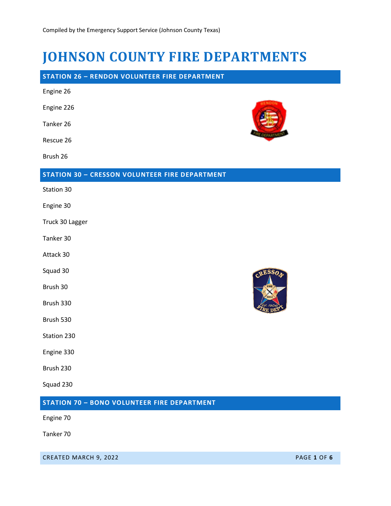# **JOHNSON COUNTY FIRE DEPARTMENTS**

## **STATION 26 – RENDON VOLUNTEER FIRE DEPARTMENT**

| Engine 26                                             |             |
|-------------------------------------------------------|-------------|
| Engine 226                                            |             |
| Tanker 26                                             |             |
| Rescue 26                                             |             |
| Brush 26                                              |             |
| <b>STATION 30 - CRESSON VOLUNTEER FIRE DEPARTMENT</b> |             |
| Station 30                                            |             |
| Engine 30                                             |             |
| Truck 30 Lagger                                       |             |
| Tanker 30                                             |             |
| Attack 30                                             |             |
| Squad 30                                              | <b>RESS</b> |
| Brush 30                                              |             |
| Brush 330                                             |             |
| Brush 530                                             |             |
| Station 230                                           |             |
| Engine 330                                            |             |
| Brush 230                                             |             |
| Squad 230                                             |             |
| <b>STATION 70 - BONO VOLUNTEER FIRE DEPARTMENT</b>    |             |
| Engine 70                                             |             |

Tanker 70

CREATED MARCH 9, 2022 PAGE **1** OF **6**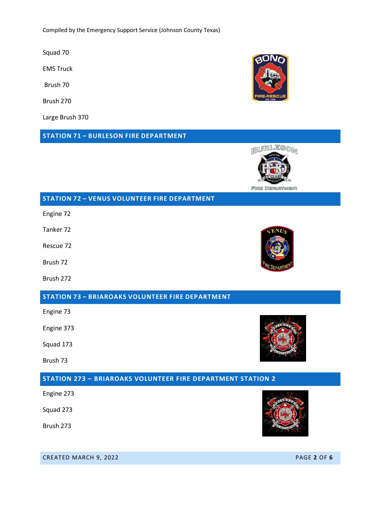Compiled by the Emergency Support Service (Johnson County Texas)

Squad 70

EMS Truck

Brush 70

Brush 270

Large Brush 370

**STATION 71 – BURLESON FIRE DEPARTMENT**

**STATION 72 – VENUS VOLUNTEER FIRE DEPARTMENT**

Engine 72

Tanker 72

Rescue 72

Brush 72

Brush 272

## **STATION 73 – BRIAROAKS VOLUNTEER FIRE DEPARTMENT**

Engine 73

Engine 373

Squad 173

Brush 73

#### **STATION 273 – BRIAROAKS VOLUNTEER FIRE DEPARTMENT STATION 2**

Engine 273

Squad 273

Brush 273

CREATED MARCH 9, 2022 PAGE **2** OF **6**





BURLESON



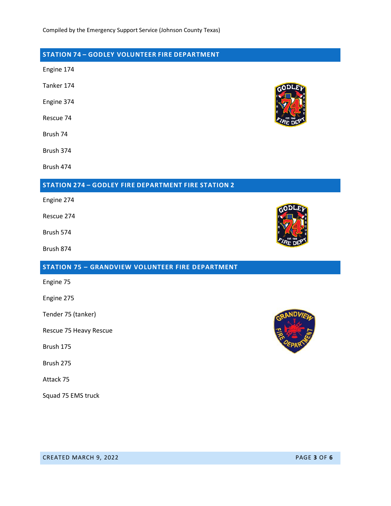# **STATION 74 – GODLEY VOLUNTEER FIRE DEPARTMENT**

Engine 174

Tanker 174

Engine 374

Rescue 74

Brush 74

Brush 374

Brush 474

#### **STATION 274 – GODLEY FIRE DEPARTMENT FIRE STATION 2**

Engine 274

Rescue 274

Brush 574

Brush 874

#### **STATION 75 – GRANDVIEW VOLUNTEER FIRE DEPARTMENT**

Engine 75

Engine 275

Tender 75 (tanker)

Rescue 75 Heavy Rescue

Brush 175

Brush 275

Attack 75

Squad 75 EMS truck





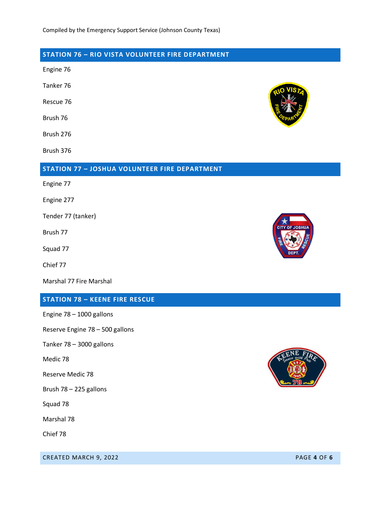# **STATION 76 – RIO VISTA VOLUNTEER FIRE DEPARTMENT**

Engine 76

Tanker 76

Rescue 76

Brush 76

Brush 276

Brush 376

## **STATION 77 – JOSHUA VOLUNTEER FIRE DEPARTMENT**

Engine 77

Engine 277

Tender 77 (tanker)

Brush 77

Squad 77

Chief 77

Marshal 77 Fire Marshal

#### **STATION 78 – KEENE FIRE RESCUE**

Engine 78 – 1000 gallons

Reserve Engine 78 – 500 gallons

Tanker 78 – 3000 gallons

Medic 78

Reserve Medic 78

Brush 78 – 225 gallons

Squad 78

Marshal 78

Chief 78

**CREATED MARCH 9, 2022 PAGE 4 OF 6** 





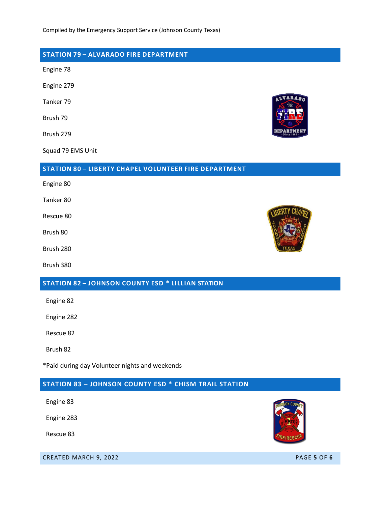## **STATION 79 – ALVARADO FIRE DEPARTMENT**

Engine 78

Engine 279

Tanker 79

Brush 79

Brush 279

Squad 79 EMS Unit

#### **STATION 80 – LIBERTY CHAPEL VOLUNTEER FIRE DEPARTMENT**

Engine 80

Tanker 80

Rescue 80

Brush 80

Brush 280

Brush 380

# **STATION 82 – JOHNSON COUNTY ESD \* LILLIAN STATION**

Engine 82

Engine 282

Rescue 82

Brush 82

\*Paid during day Volunteer nights and weekends

## **STATION 83 – JOHNSON COUNTY ESD \* CHISM TRAIL STATION**

Engine 83

Engine 283

Rescue 83

**CREATED MARCH 9, 2022 PAGE 5 OF 6**